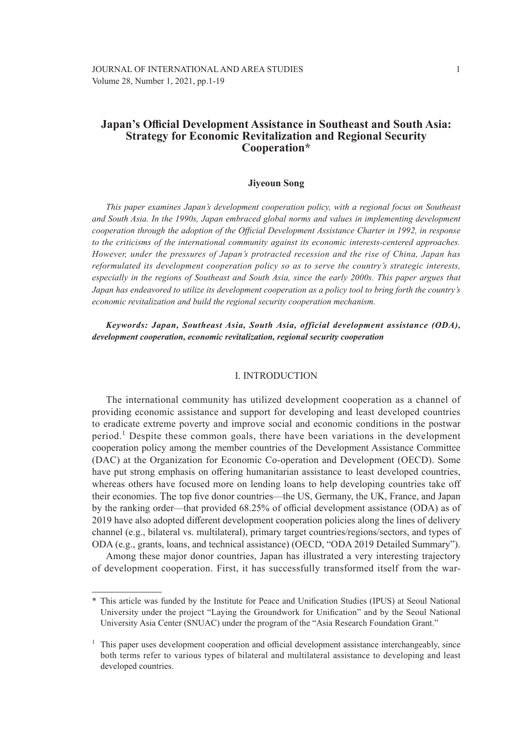# **Japan's Official Development Assistance in Southeast and South Asia: Strategy for Economic Revitalization and Regional Security Cooperation\***

### **Jiyeoun Song**

*This paper examines Japan's development cooperation policy, with a regional focus on Southeast and South Asia. In the 1990s, Japan embraced global norms and values in implementing development cooperation through the adoption of the Official Development Assistance Charter in 1992, in response to the criticisms of the international community against its economic interests-centered approaches. However, under the pressures of Japan's protracted recession and the rise of China, Japan has reformulated its development cooperation policy so as to serve the country's strategic interests, especially in the regions of Southeast and South Asia, since the early 2000s. This paper argues that Japan has endeavored to utilize its development cooperation as a policy tool to bring forth the country's economic revitalization and build the regional security cooperation mechanism.*

*Keywords: Japan, Southeast Asia, South Asia, official development assistance (ODA), development cooperation, economic revitalization, regional security cooperation*

### I. INTRODUCTION

The international community has utilized development cooperation as a channel of providing economic assistance and support for developing and least developed countries to eradicate extreme poverty and improve social and economic conditions in the postwar period.<sup>1</sup> Despite these common goals, there have been variations in the development cooperation policy among the member countries of the Development Assistance Committee (DAC) at the Organization for Economic Co-operation and Development (OECD). Some have put strong emphasis on offering humanitarian assistance to least developed countries, whereas others have focused more on lending loans to help developing countries take off their economies. The top five donor countries—the US, Germany, the UK, France, and Japan by the ranking order—that provided 68.25% of official development assistance (ODA) as of 2019 have also adopted different development cooperation policies along the lines of delivery channel (e.g., bilateral vs. multilateral), primary target countries/regions/sectors, and types of ODA (e.g., grants, loans, and technical assistance) (OECD, "ODA 2019 Detailed Summary").

Among these major donor countries, Japan has illustrated a very interesting trajectory of development cooperation. First, it has successfully transformed itself from the war-

<sup>\*</sup> This article was funded by the Institute for Peace and Unification Studies (IPUS) at Seoul National University under the project "Laying the Groundwork for Unification" and by the Seoul National University Asia Center (SNUAC) under the program of the "Asia Research Foundation Grant."

<sup>1</sup> This paper uses development cooperation and official development assistance interchangeably, since both terms refer to various types of bilateral and multilateral assistance to developing and least developed countries.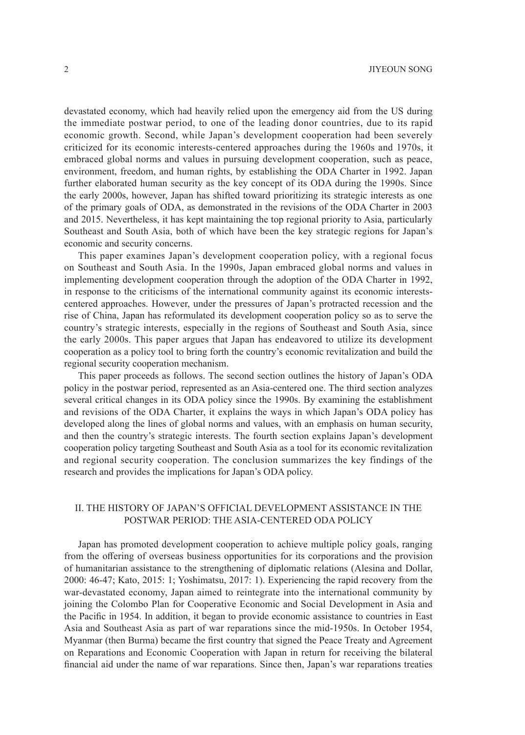devastated economy, which had heavily relied upon the emergency aid from the US during the immediate postwar period, to one of the leading donor countries, due to its rapid economic growth. Second, while Japan's development cooperation had been severely criticized for its economic interests-centered approaches during the 1960s and 1970s, it embraced global norms and values in pursuing development cooperation, such as peace, environment, freedom, and human rights, by establishing the ODA Charter in 1992. Japan further elaborated human security as the key concept of its ODA during the 1990s. Since the early 2000s, however, Japan has shifted toward prioritizing its strategic interests as one of the primary goals of ODA, as demonstrated in the revisions of the ODA Charter in 2003 and 2015. Nevertheless, it has kept maintaining the top regional priority to Asia, particularly Southeast and South Asia, both of which have been the key strategic regions for Japan's economic and security concerns.

This paper examines Japan's development cooperation policy, with a regional focus on Southeast and South Asia. In the 1990s, Japan embraced global norms and values in implementing development cooperation through the adoption of the ODA Charter in 1992, in response to the criticisms of the international community against its economic interestscentered approaches. However, under the pressures of Japan's protracted recession and the rise of China, Japan has reformulated its development cooperation policy so as to serve the country's strategic interests, especially in the regions of Southeast and South Asia, since the early 2000s. This paper argues that Japan has endeavored to utilize its development cooperation as a policy tool to bring forth the country's economic revitalization and build the regional security cooperation mechanism.

This paper proceeds as follows. The second section outlines the history of Japan's ODA policy in the postwar period, represented as an Asia-centered one. The third section analyzes several critical changes in its ODA policy since the 1990s. By examining the establishment and revisions of the ODA Charter, it explains the ways in which Japan's ODA policy has developed along the lines of global norms and values, with an emphasis on human security, and then the country's strategic interests. The fourth section explains Japan's development cooperation policy targeting Southeast and South Asia as a tool for its economic revitalization and regional security cooperation. The conclusion summarizes the key findings of the research and provides the implications for Japan's ODA policy.

## II. THE HISTORY OF JAPAN'S OFFICIAL DEVELOPMENT ASSISTANCE IN THE POSTWAR PERIOD: THE ASIA-CENTERED ODA POLICY

Japan has promoted development cooperation to achieve multiple policy goals, ranging from the offering of overseas business opportunities for its corporations and the provision of humanitarian assistance to the strengthening of diplomatic relations (Alesina and Dollar, 2000: 46-47; Kato, 2015: 1; Yoshimatsu, 2017: 1). Experiencing the rapid recovery from the war-devastated economy, Japan aimed to reintegrate into the international community by joining the Colombo Plan for Cooperative Economic and Social Development in Asia and the Pacific in 1954. In addition, it began to provide economic assistance to countries in East Asia and Southeast Asia as part of war reparations since the mid-1950s. In October 1954, Myanmar (then Burma) became the first country that signed the Peace Treaty and Agreement on Reparations and Economic Cooperation with Japan in return for receiving the bilateral financial aid under the name of war reparations. Since then, Japan's war reparations treaties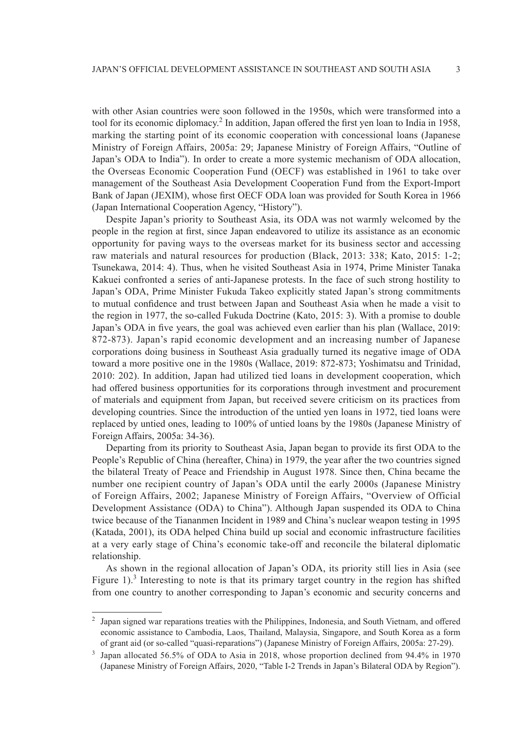with other Asian countries were soon followed in the 1950s, which were transformed into a tool for its economic diplomacy.<sup>2</sup> In addition, Japan offered the first yen loan to India in 1958, marking the starting point of its economic cooperation with concessional loans (Japanese Ministry of Foreign Affairs, 2005a: 29; Japanese Ministry of Foreign Affairs, "Outline of Japan's ODA to India"). In order to create a more systemic mechanism of ODA allocation, the Overseas Economic Cooperation Fund (OECF) was established in 1961 to take over management of the Southeast Asia Development Cooperation Fund from the Export-Import Bank of Japan (JEXIM), whose first OECF ODA loan was provided for South Korea in 1966 (Japan International Cooperation Agency, "History").

Despite Japan's priority to Southeast Asia, its ODA was not warmly welcomed by the people in the region at first, since Japan endeavored to utilize its assistance as an economic opportunity for paving ways to the overseas market for its business sector and accessing raw materials and natural resources for production (Black, 2013: 338; Kato, 2015: 1-2; Tsunekawa, 2014: 4). Thus, when he visited Southeast Asia in 1974, Prime Minister Tanaka Kakuei confronted a series of anti-Japanese protests. In the face of such strong hostility to Japan's ODA, Prime Minister Fukuda Takeo explicitly stated Japan's strong commitments to mutual confidence and trust between Japan and Southeast Asia when he made a visit to the region in 1977, the so-called Fukuda Doctrine (Kato, 2015: 3). With a promise to double Japan's ODA in five years, the goal was achieved even earlier than his plan (Wallace, 2019: 872-873). Japan's rapid economic development and an increasing number of Japanese corporations doing business in Southeast Asia gradually turned its negative image of ODA toward a more positive one in the 1980s (Wallace, 2019: 872-873; Yoshimatsu and Trinidad, 2010: 202). In addition, Japan had utilized tied loans in development cooperation, which had offered business opportunities for its corporations through investment and procurement of materials and equipment from Japan, but received severe criticism on its practices from developing countries. Since the introduction of the untied yen loans in 1972, tied loans were replaced by untied ones, leading to 100% of untied loans by the 1980s (Japanese Ministry of Foreign Affairs, 2005a: 34-36).

Departing from its priority to Southeast Asia, Japan began to provide its first ODA to the People's Republic of China (hereafter, China) in 1979, the year after the two countries signed the bilateral Treaty of Peace and Friendship in August 1978. Since then, China became the number one recipient country of Japan's ODA until the early 2000s (Japanese Ministry of Foreign Affairs, 2002; Japanese Ministry of Foreign Affairs, "Overview of Official Development Assistance (ODA) to China"). Although Japan suspended its ODA to China twice because of the Tiananmen Incident in 1989 and China's nuclear weapon testing in 1995 (Katada, 2001), its ODA helped China build up social and economic infrastructure facilities at a very early stage of China's economic take-off and reconcile the bilateral diplomatic relationship.

As shown in the regional allocation of Japan's ODA, its priority still lies in Asia (see Figure 1).<sup>3</sup> Interesting to note is that its primary target country in the region has shifted from one country to another corresponding to Japan's economic and security concerns and

<sup>2</sup> Japan signed war reparations treaties with the Philippines, Indonesia, and South Vietnam, and offered economic assistance to Cambodia, Laos, Thailand, Malaysia, Singapore, and South Korea as a form of grant aid (or so-called "quasi-reparations") (Japanese Ministry of Foreign Affairs, 2005a: 27-29). 3 Japan allocated 56.5% of ODA to Asia in 2018, whose proportion declined from 94.4% in 1970

<sup>(</sup>Japanese Ministry of Foreign Affairs, 2020, "Table I-2 Trends in Japan's Bilateral ODA by Region").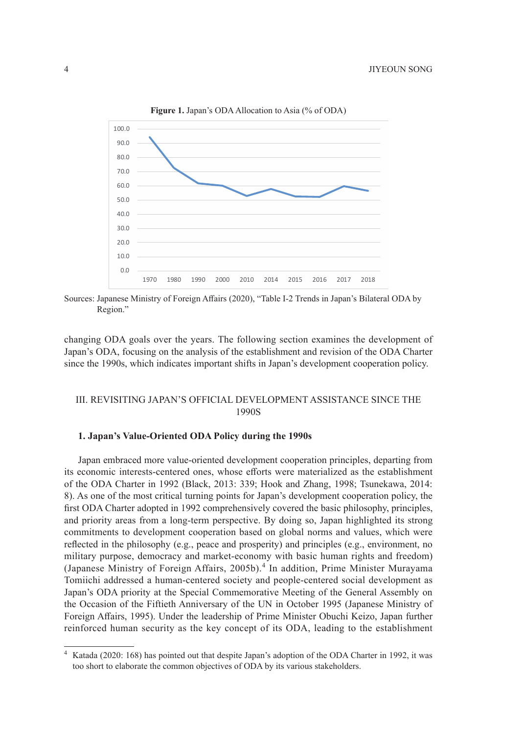

**Figure 1.** Japan's ODA Allocation to Asia (% of ODA)

Sources: Japanese Ministry of Foreign Affairs (2020), "Table I-2 Trends in Japan's Bilateral ODA by Region."

changing ODA goals over the years. The following section examines the development of Japan's ODA, focusing on the analysis of the establishment and revision of the ODA Charter since the 1990s, which indicates important shifts in Japan's development cooperation policy.

## III. REVISITING JAPAN'S OFFICIAL DEVELOPMENT ASSISTANCE SINCE THE 1990S

### **1. Japan's Value-Oriented ODA Policy during the 1990s**

Japan embraced more value-oriented development cooperation principles, departing from its economic interests-centered ones, whose efforts were materialized as the establishment of the ODA Charter in 1992 (Black, 2013: 339; Hook and Zhang, 1998; Tsunekawa, 2014: 8). As one of the most critical turning points for Japan's development cooperation policy, the first ODA Charter adopted in 1992 comprehensively covered the basic philosophy, principles, and priority areas from a long-term perspective. By doing so, Japan highlighted its strong commitments to development cooperation based on global norms and values, which were reflected in the philosophy (e.g., peace and prosperity) and principles (e.g., environment, no military purpose, democracy and market-economy with basic human rights and freedom) (Japanese Ministry of Foreign Affairs, 2005b).<sup>4</sup> In addition, Prime Minister Murayama Tomiichi addressed a human-centered society and people-centered social development as Japan's ODA priority at the Special Commemorative Meeting of the General Assembly on the Occasion of the Fiftieth Anniversary of the UN in October 1995 (Japanese Ministry of Foreign Affairs, 1995). Under the leadership of Prime Minister Obuchi Keizo, Japan further reinforced human security as the key concept of its ODA, leading to the establishment

Katada (2020: 168) has pointed out that despite Japan's adoption of the ODA Charter in 1992, it was too short to elaborate the common objectives of ODA by its various stakeholders.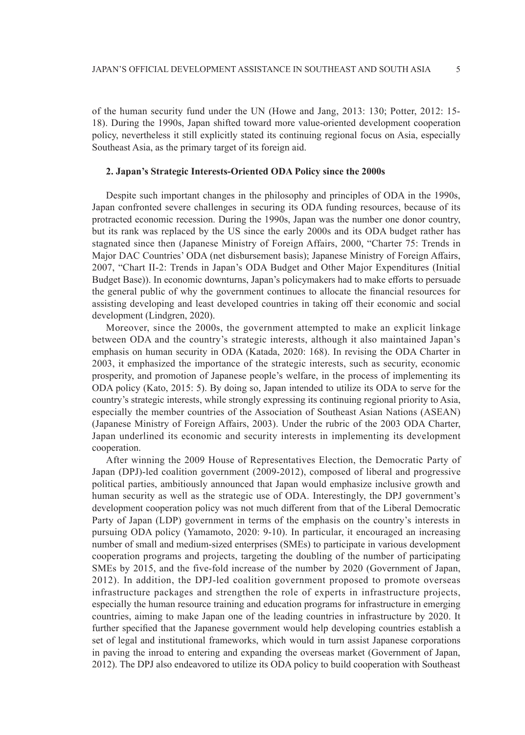of the human security fund under the UN (Howe and Jang, 2013: 130; Potter, 2012: 15- 18). During the 1990s, Japan shifted toward more value-oriented development cooperation policy, nevertheless it still explicitly stated its continuing regional focus on Asia, especially Southeast Asia, as the primary target of its foreign aid.

### **2. Japan's Strategic Interests-Oriented ODA Policy since the 2000s**

Despite such important changes in the philosophy and principles of ODA in the 1990s, Japan confronted severe challenges in securing its ODA funding resources, because of its protracted economic recession. During the 1990s, Japan was the number one donor country, but its rank was replaced by the US since the early 2000s and its ODA budget rather has stagnated since then (Japanese Ministry of Foreign Affairs, 2000, "Charter 75: Trends in Major DAC Countries' ODA (net disbursement basis); Japanese Ministry of Foreign Affairs, 2007, "Chart II-2: Trends in Japan's ODA Budget and Other Major Expenditures (Initial Budget Base)). In economic downturns, Japan's policymakers had to make efforts to persuade the general public of why the government continues to allocate the financial resources for assisting developing and least developed countries in taking off their economic and social development (Lindgren, 2020).

Moreover, since the 2000s, the government attempted to make an explicit linkage between ODA and the country's strategic interests, although it also maintained Japan's emphasis on human security in ODA (Katada, 2020: 168). In revising the ODA Charter in 2003, it emphasized the importance of the strategic interests, such as security, economic prosperity, and promotion of Japanese people's welfare, in the process of implementing its ODA policy (Kato, 2015: 5). By doing so, Japan intended to utilize its ODA to serve for the country's strategic interests, while strongly expressing its continuing regional priority to Asia, especially the member countries of the Association of Southeast Asian Nations (ASEAN) (Japanese Ministry of Foreign Affairs, 2003). Under the rubric of the 2003 ODA Charter, Japan underlined its economic and security interests in implementing its development cooperation.

After winning the 2009 House of Representatives Election, the Democratic Party of Japan (DPJ)-led coalition government (2009-2012), composed of liberal and progressive political parties, ambitiously announced that Japan would emphasize inclusive growth and human security as well as the strategic use of ODA. Interestingly, the DPJ government's development cooperation policy was not much different from that of the Liberal Democratic Party of Japan (LDP) government in terms of the emphasis on the country's interests in pursuing ODA policy (Yamamoto, 2020: 9-10). In particular, it encouraged an increasing number of small and medium-sized enterprises (SMEs) to participate in various development cooperation programs and projects, targeting the doubling of the number of participating SMEs by 2015, and the five-fold increase of the number by 2020 (Government of Japan, 2012). In addition, the DPJ-led coalition government proposed to promote overseas infrastructure packages and strengthen the role of experts in infrastructure projects, especially the human resource training and education programs for infrastructure in emerging countries, aiming to make Japan one of the leading countries in infrastructure by 2020. It further specified that the Japanese government would help developing countries establish a set of legal and institutional frameworks, which would in turn assist Japanese corporations in paving the inroad to entering and expanding the overseas market (Government of Japan, 2012). The DPJ also endeavored to utilize its ODA policy to build cooperation with Southeast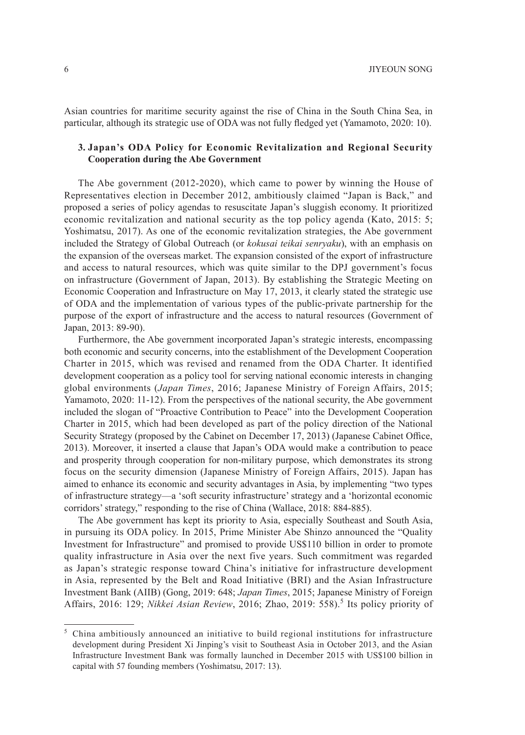Asian countries for maritime security against the rise of China in the South China Sea, in particular, although its strategic use of ODA was not fully fledged yet (Yamamoto, 2020: 10).

### **3. Japan's ODA Policy for Economic Revitalization and Regional Security Cooperation during the Abe Government**

The Abe government (2012-2020), which came to power by winning the House of Representatives election in December 2012, ambitiously claimed "Japan is Back," and proposed a series of policy agendas to resuscitate Japan's sluggish economy. It prioritized economic revitalization and national security as the top policy agenda (Kato, 2015: 5; Yoshimatsu, 2017). As one of the economic revitalization strategies, the Abe government included the Strategy of Global Outreach (or *kokusai teikai senryaku*), with an emphasis on the expansion of the overseas market. The expansion consisted of the export of infrastructure and access to natural resources, which was quite similar to the DPJ government's focus on infrastructure (Government of Japan, 2013). By establishing the Strategic Meeting on Economic Cooperation and Infrastructure on May 17, 2013, it clearly stated the strategic use of ODA and the implementation of various types of the public-private partnership for the purpose of the export of infrastructure and the access to natural resources (Government of Japan, 2013: 89-90).

Furthermore, the Abe government incorporated Japan's strategic interests, encompassing both economic and security concerns, into the establishment of the Development Cooperation Charter in 2015, which was revised and renamed from the ODA Charter. It identified development cooperation as a policy tool for serving national economic interests in changing global environments (*Japan Times*, 2016; Japanese Ministry of Foreign Affairs, 2015; Yamamoto, 2020: 11-12). From the perspectives of the national security, the Abe government included the slogan of "Proactive Contribution to Peace" into the Development Cooperation Charter in 2015, which had been developed as part of the policy direction of the National Security Strategy (proposed by the Cabinet on December 17, 2013) (Japanese Cabinet Office, 2013). Moreover, it inserted a clause that Japan's ODA would make a contribution to peace and prosperity through cooperation for non-military purpose, which demonstrates its strong focus on the security dimension (Japanese Ministry of Foreign Affairs, 2015). Japan has aimed to enhance its economic and security advantages in Asia, by implementing "two types of infrastructure strategy—a 'soft security infrastructure' strategy and a 'horizontal economic corridors' strategy," responding to the rise of China (Wallace, 2018: 884-885).

The Abe government has kept its priority to Asia, especially Southeast and South Asia, in pursuing its ODA policy. In 2015, Prime Minister Abe Shinzo announced the "Quality Investment for Infrastructure" and promised to provide US\$110 billion in order to promote quality infrastructure in Asia over the next five years. Such commitment was regarded as Japan's strategic response toward China's initiative for infrastructure development in Asia, represented by the Belt and Road Initiative (BRI) and the Asian Infrastructure Investment Bank (AIIB) (Gong, 2019: 648; *Japan Times*, 2015; Japanese Ministry of Foreign Affairs, 2016: 129; *Nikkei Asian Review*, 2016; Zhao, 2019: 558).<sup>5</sup> Its policy priority of

<sup>5</sup> China ambitiously announced an initiative to build regional institutions for infrastructure development during President Xi Jinping's visit to Southeast Asia in October 2013, and the Asian Infrastructure Investment Bank was formally launched in December 2015 with US\$100 billion in capital with 57 founding members (Yoshimatsu, 2017: 13).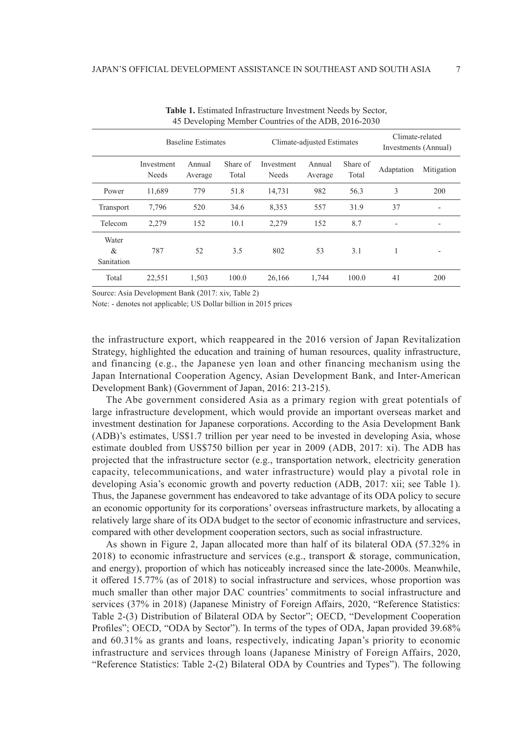|                          | <b>Baseline Estimates</b>  |                   |                   | Climate-adjusted Estimates |                   |                   | Climate-related<br>Investments (Annual) |            |
|--------------------------|----------------------------|-------------------|-------------------|----------------------------|-------------------|-------------------|-----------------------------------------|------------|
|                          | Investment<br><b>Needs</b> | Annual<br>Average | Share of<br>Total | Investment<br><b>Needs</b> | Annual<br>Average | Share of<br>Total | Adaptation                              | Mitigation |
| Power                    | 11,689                     | 779               | 51.8              | 14.731                     | 982               | 56.3              | 3                                       | 200        |
| Transport                | 7,796                      | 520               | 34.6              | 8,353                      | 557               | 31.9              | 37                                      | ۰          |
| Telecom                  | 2.279                      | 152               | 10.1              | 2,279                      | 152               | 8.7               |                                         | ۰          |
| Water<br>&<br>Sanitation | 787                        | 52                | 3.5               | 802                        | 53                | 3.1               | 1                                       | ۰          |
| Total                    | 22,551                     | 1,503             | 100.0             | 26,166                     | 1,744             | 100.0             | 41                                      | 200        |

**Table 1.** Estimated Infrastructure Investment Needs by Sector, 45 Developing Member Countries of the ADB, 2016-2030

Source: Asia Development Bank (2017: xiv, Table 2)

Note: - denotes not applicable; US Dollar billion in 2015 prices

the infrastructure export, which reappeared in the 2016 version of Japan Revitalization Strategy, highlighted the education and training of human resources, quality infrastructure, and financing (e.g., the Japanese yen loan and other financing mechanism using the Japan International Cooperation Agency, Asian Development Bank, and Inter-American Development Bank) (Government of Japan, 2016: 213-215).

The Abe government considered Asia as a primary region with great potentials of large infrastructure development, which would provide an important overseas market and investment destination for Japanese corporations. According to the Asia Development Bank (ADB)'s estimates, US\$1.7 trillion per year need to be invested in developing Asia, whose estimate doubled from US\$750 billion per year in 2009 (ADB, 2017: xi). The ADB has projected that the infrastructure sector (e.g., transportation network, electricity generation capacity, telecommunications, and water infrastructure) would play a pivotal role in developing Asia's economic growth and poverty reduction (ADB, 2017: xii; see Table 1). Thus, the Japanese government has endeavored to take advantage of its ODA policy to secure an economic opportunity for its corporations' overseas infrastructure markets, by allocating a relatively large share of its ODA budget to the sector of economic infrastructure and services, compared with other development cooperation sectors, such as social infrastructure.

As shown in Figure 2, Japan allocated more than half of its bilateral ODA (57.32% in 2018) to economic infrastructure and services (e.g., transport & storage, communication, and energy), proportion of which has noticeably increased since the late-2000s. Meanwhile, it offered 15.77% (as of 2018) to social infrastructure and services, whose proportion was much smaller than other major DAC countries' commitments to social infrastructure and services (37% in 2018) (Japanese Ministry of Foreign Affairs, 2020, "Reference Statistics: Table 2-(3) Distribution of Bilateral ODA by Sector"; OECD, "Development Cooperation Profiles"; OECD, "ODA by Sector"). In terms of the types of ODA, Japan provided 39.68% and 60.31% as grants and loans, respectively, indicating Japan's priority to economic infrastructure and services through loans (Japanese Ministry of Foreign Affairs, 2020, "Reference Statistics: Table 2-(2) Bilateral ODA by Countries and Types"). The following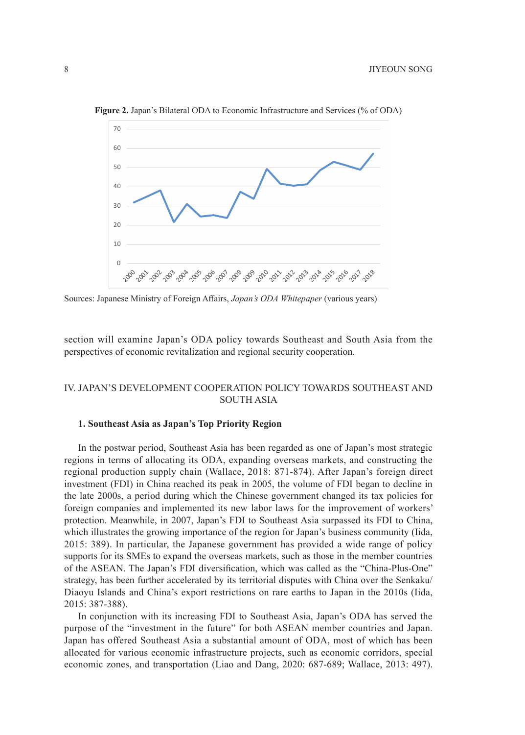

**Figure 2.** Japan's Bilateral ODA to Economic Infrastructure and Services (% of ODA)

Sources: Japanese Ministry of Foreign Affairs, *Japan's ODA Whitepaper* (various years)

section will examine Japan's ODA policy towards Southeast and South Asia from the perspectives of economic revitalization and regional security cooperation.

## IV. JAPAN'S DEVELOPMENT COOPERATION POLICY TOWARDS SOUTHEAST AND SOUTH ASIA

### **1. Southeast Asia as Japan's Top Priority Region**

In the postwar period, Southeast Asia has been regarded as one of Japan's most strategic regions in terms of allocating its ODA, expanding overseas markets, and constructing the regional production supply chain (Wallace, 2018: 871-874). After Japan's foreign direct investment (FDI) in China reached its peak in 2005, the volume of FDI began to decline in the late 2000s, a period during which the Chinese government changed its tax policies for foreign companies and implemented its new labor laws for the improvement of workers' protection. Meanwhile, in 2007, Japan's FDI to Southeast Asia surpassed its FDI to China, which illustrates the growing importance of the region for Japan's business community (Iida, 2015: 389). In particular, the Japanese government has provided a wide range of policy supports for its SMEs to expand the overseas markets, such as those in the member countries of the ASEAN. The Japan's FDI diversification, which was called as the "China-Plus-One" strategy, has been further accelerated by its territorial disputes with China over the Senkaku/ Diaoyu Islands and China's export restrictions on rare earths to Japan in the 2010s (Iida, 2015: 387-388).

In conjunction with its increasing FDI to Southeast Asia, Japan's ODA has served the purpose of the "investment in the future" for both ASEAN member countries and Japan. Japan has offered Southeast Asia a substantial amount of ODA, most of which has been allocated for various economic infrastructure projects, such as economic corridors, special economic zones, and transportation (Liao and Dang, 2020: 687-689; Wallace, 2013: 497).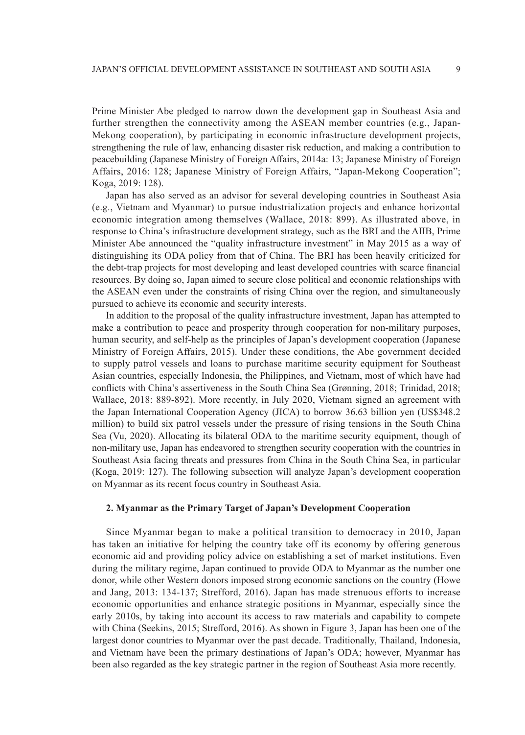Prime Minister Abe pledged to narrow down the development gap in Southeast Asia and further strengthen the connectivity among the ASEAN member countries (e.g., Japan-Mekong cooperation), by participating in economic infrastructure development projects, strengthening the rule of law, enhancing disaster risk reduction, and making a contribution to peacebuilding (Japanese Ministry of Foreign Affairs, 2014a: 13; Japanese Ministry of Foreign Affairs, 2016: 128; Japanese Ministry of Foreign Affairs, "Japan-Mekong Cooperation"; Koga, 2019: 128).

Japan has also served as an advisor for several developing countries in Southeast Asia (e.g., Vietnam and Myanmar) to pursue industrialization projects and enhance horizontal economic integration among themselves (Wallace, 2018: 899). As illustrated above, in response to China's infrastructure development strategy, such as the BRI and the AIIB, Prime Minister Abe announced the "quality infrastructure investment" in May 2015 as a way of distinguishing its ODA policy from that of China. The BRI has been heavily criticized for the debt-trap projects for most developing and least developed countries with scarce financial resources. By doing so, Japan aimed to secure close political and economic relationships with the ASEAN even under the constraints of rising China over the region, and simultaneously pursued to achieve its economic and security interests.

In addition to the proposal of the quality infrastructure investment, Japan has attempted to make a contribution to peace and prosperity through cooperation for non-military purposes, human security, and self-help as the principles of Japan's development cooperation (Japanese Ministry of Foreign Affairs, 2015). Under these conditions, the Abe government decided to supply patrol vessels and loans to purchase maritime security equipment for Southeast Asian countries, especially Indonesia, the Philippines, and Vietnam, most of which have had conflicts with China's assertiveness in the South China Sea (Grønning, 2018; Trinidad, 2018; Wallace, 2018: 889-892). More recently, in July 2020, Vietnam signed an agreement with the Japan International Cooperation Agency (JICA) to borrow 36.63 billion yen (US\$348.2 million) to build six patrol vessels under the pressure of rising tensions in the South China Sea (Vu, 2020). Allocating its bilateral ODA to the maritime security equipment, though of non-military use, Japan has endeavored to strengthen security cooperation with the countries in Southeast Asia facing threats and pressures from China in the South China Sea, in particular (Koga, 2019: 127). The following subsection will analyze Japan's development cooperation on Myanmar as its recent focus country in Southeast Asia.

### **2. Myanmar as the Primary Target of Japan's Development Cooperation**

Since Myanmar began to make a political transition to democracy in 2010, Japan has taken an initiative for helping the country take off its economy by offering generous economic aid and providing policy advice on establishing a set of market institutions. Even during the military regime, Japan continued to provide ODA to Myanmar as the number one donor, while other Western donors imposed strong economic sanctions on the country (Howe and Jang, 2013: 134-137; Strefford, 2016). Japan has made strenuous efforts to increase economic opportunities and enhance strategic positions in Myanmar, especially since the early 2010s, by taking into account its access to raw materials and capability to compete with China (Seekins, 2015; Strefford, 2016). As shown in Figure 3, Japan has been one of the largest donor countries to Myanmar over the past decade. Traditionally, Thailand, Indonesia, and Vietnam have been the primary destinations of Japan's ODA; however, Myanmar has been also regarded as the key strategic partner in the region of Southeast Asia more recently.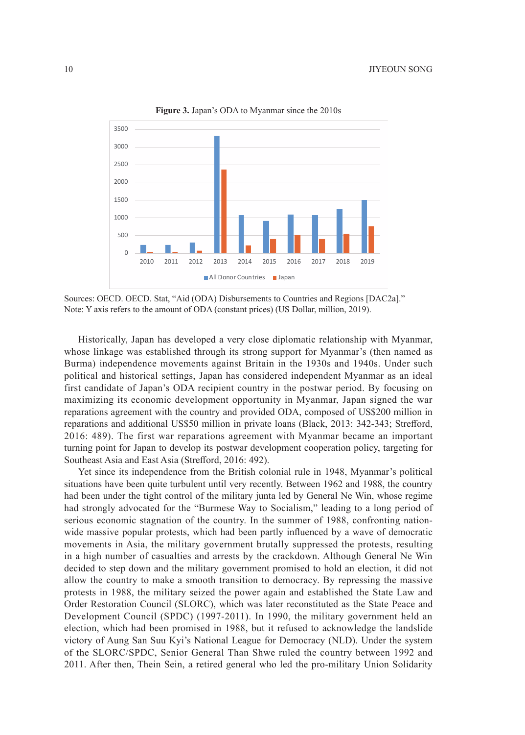

**Figure 3.** Japan's ODA to Myanmar since the 2010s

Sources: OECD. OECD. Stat, "Aid (ODA) Disbursements to Countries and Regions [DAC2a]." Note: Y axis refers to the amount of ODA (constant prices) (US Dollar, million, 2019).

Historically, Japan has developed a very close diplomatic relationship with Myanmar, whose linkage was established through its strong support for Myanmar's (then named as Burma) independence movements against Britain in the 1930s and 1940s. Under such political and historical settings, Japan has considered independent Myanmar as an ideal first candidate of Japan's ODA recipient country in the postwar period. By focusing on maximizing its economic development opportunity in Myanmar, Japan signed the war reparations agreement with the country and provided ODA, composed of US\$200 million in reparations and additional US\$50 million in private loans (Black, 2013: 342-343; Strefford, 2016: 489). The first war reparations agreement with Myanmar became an important turning point for Japan to develop its postwar development cooperation policy, targeting for Southeast Asia and East Asia (Strefford, 2016: 492).

Yet since its independence from the British colonial rule in 1948, Myanmar's political situations have been quite turbulent until very recently. Between 1962 and 1988, the country had been under the tight control of the military junta led by General Ne Win, whose regime had strongly advocated for the "Burmese Way to Socialism," leading to a long period of serious economic stagnation of the country. In the summer of 1988, confronting nationwide massive popular protests, which had been partly influenced by a wave of democratic movements in Asia, the military government brutally suppressed the protests, resulting in a high number of casualties and arrests by the crackdown. Although General Ne Win decided to step down and the military government promised to hold an election, it did not allow the country to make a smooth transition to democracy. By repressing the massive protests in 1988, the military seized the power again and established the State Law and Order Restoration Council (SLORC), which was later reconstituted as the State Peace and Development Council (SPDC) (1997-2011). In 1990, the military government held an election, which had been promised in 1988, but it refused to acknowledge the landslide victory of Aung San Suu Kyi's National League for Democracy (NLD). Under the system of the SLORC/SPDC, Senior General Than Shwe ruled the country between 1992 and 2011. After then, Thein Sein, a retired general who led the pro-military Union Solidarity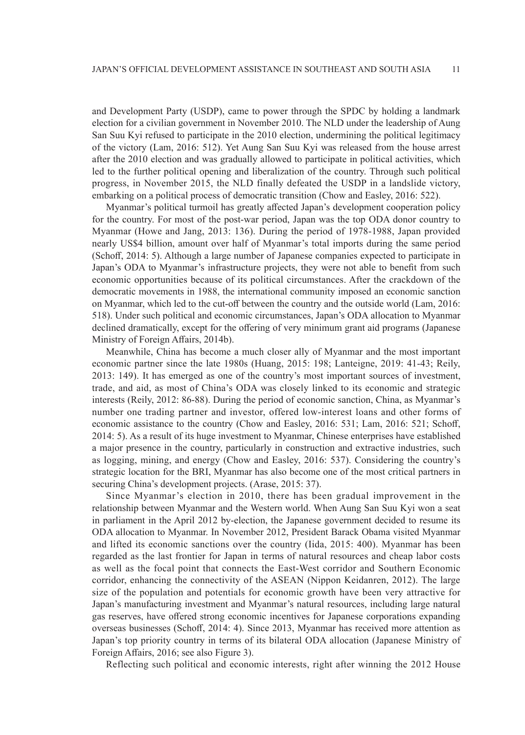and Development Party (USDP), came to power through the SPDC by holding a landmark election for a civilian government in November 2010. The NLD under the leadership of Aung San Suu Kyi refused to participate in the 2010 election, undermining the political legitimacy of the victory (Lam, 2016: 512). Yet Aung San Suu Kyi was released from the house arrest after the 2010 election and was gradually allowed to participate in political activities, which led to the further political opening and liberalization of the country. Through such political progress, in November 2015, the NLD finally defeated the USDP in a landslide victory, embarking on a political process of democratic transition (Chow and Easley, 2016: 522).

Myanmar's political turmoil has greatly affected Japan's development cooperation policy for the country. For most of the post-war period, Japan was the top ODA donor country to Myanmar (Howe and Jang, 2013: 136). During the period of 1978-1988, Japan provided nearly US\$4 billion, amount over half of Myanmar's total imports during the same period (Schoff, 2014: 5). Although a large number of Japanese companies expected to participate in Japan's ODA to Myanmar's infrastructure projects, they were not able to benefit from such economic opportunities because of its political circumstances. After the crackdown of the democratic movements in 1988, the international community imposed an economic sanction on Myanmar, which led to the cut-off between the country and the outside world (Lam, 2016: 518). Under such political and economic circumstances, Japan's ODA allocation to Myanmar declined dramatically, except for the offering of very minimum grant aid programs (Japanese Ministry of Foreign Affairs, 2014b).

Meanwhile, China has become a much closer ally of Myanmar and the most important economic partner since the late 1980s (Huang, 2015: 198; Lanteigne, 2019: 41-43; Reily, 2013: 149). It has emerged as one of the country's most important sources of investment, trade, and aid, as most of China's ODA was closely linked to its economic and strategic interests (Reily, 2012: 86-88). During the period of economic sanction, China, as Myanmar's number one trading partner and investor, offered low-interest loans and other forms of economic assistance to the country (Chow and Easley, 2016: 531; Lam, 2016: 521; Schoff, 2014: 5). As a result of its huge investment to Myanmar, Chinese enterprises have established a major presence in the country, particularly in construction and extractive industries, such as logging, mining, and energy (Chow and Easley, 2016: 537). Considering the country's strategic location for the BRI, Myanmar has also become one of the most critical partners in securing China's development projects. (Arase, 2015: 37).

Since Myanmar's election in 2010, there has been gradual improvement in the relationship between Myanmar and the Western world. When Aung San Suu Kyi won a seat in parliament in the April 2012 by-election, the Japanese government decided to resume its ODA allocation to Myanmar. In November 2012, President Barack Obama visited Myanmar and lifted its economic sanctions over the country (Iida, 2015: 400). Myanmar has been regarded as the last frontier for Japan in terms of natural resources and cheap labor costs as well as the focal point that connects the East-West corridor and Southern Economic corridor, enhancing the connectivity of the ASEAN (Nippon Keidanren, 2012). The large size of the population and potentials for economic growth have been very attractive for Japan's manufacturing investment and Myanmar's natural resources, including large natural gas reserves, have offered strong economic incentives for Japanese corporations expanding overseas businesses (Schoff, 2014: 4). Since 2013, Myanmar has received more attention as Japan's top priority country in terms of its bilateral ODA allocation (Japanese Ministry of Foreign Affairs, 2016; see also Figure 3).

Reflecting such political and economic interests, right after winning the 2012 House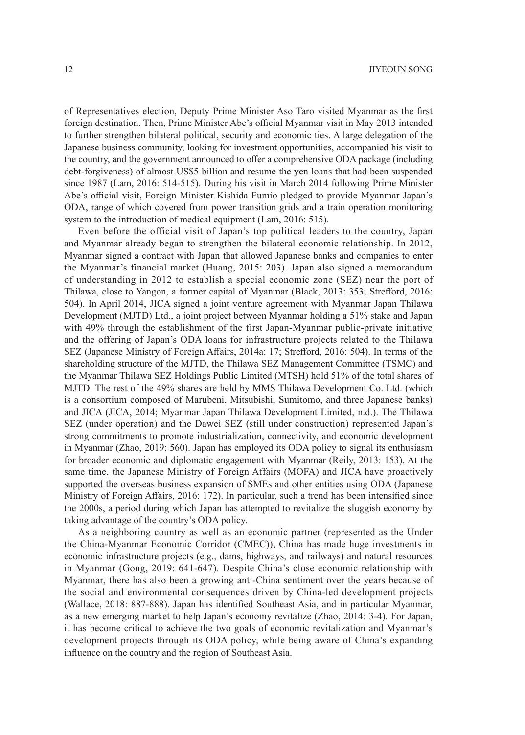of Representatives election, Deputy Prime Minister Aso Taro visited Myanmar as the first foreign destination. Then, Prime Minister Abe's official Myanmar visit in May 2013 intended to further strengthen bilateral political, security and economic ties. A large delegation of the Japanese business community, looking for investment opportunities, accompanied his visit to the country, and the government announced to offer a comprehensive ODA package (including debt-forgiveness) of almost US\$5 billion and resume the yen loans that had been suspended since 1987 (Lam, 2016: 514-515). During his visit in March 2014 following Prime Minister Abe's official visit, Foreign Minister Kishida Fumio pledged to provide Myanmar Japan's ODA, range of which covered from power transition grids and a train operation monitoring system to the introduction of medical equipment (Lam, 2016: 515).

Even before the official visit of Japan's top political leaders to the country, Japan and Myanmar already began to strengthen the bilateral economic relationship. In 2012, Myanmar signed a contract with Japan that allowed Japanese banks and companies to enter the Myanmar's financial market (Huang, 2015: 203). Japan also signed a memorandum of understanding in 2012 to establish a special economic zone (SEZ) near the port of Thilawa, close to Yangon, a former capital of Myanmar (Black, 2013: 353; Strefford, 2016: 504). In April 2014, JICA signed a joint venture agreement with Myanmar Japan Thilawa Development (MJTD) Ltd., a joint project between Myanmar holding a 51% stake and Japan with 49% through the establishment of the first Japan-Myanmar public-private initiative and the offering of Japan's ODA loans for infrastructure projects related to the Thilawa SEZ (Japanese Ministry of Foreign Affairs, 2014a: 17; Strefford, 2016: 504). In terms of the shareholding structure of the MJTD, the Thilawa SEZ Management Committee (TSMC) and the Myanmar Thilawa SEZ Holdings Public Limited (MTSH) hold 51% of the total shares of MJTD. The rest of the 49% shares are held by MMS Thilawa Development Co. Ltd. (which is a consortium composed of Marubeni, Mitsubishi, Sumitomo, and three Japanese banks) and JICA (JICA, 2014; Myanmar Japan Thilawa Development Limited, n.d.). The Thilawa SEZ (under operation) and the Dawei SEZ (still under construction) represented Japan's strong commitments to promote industrialization, connectivity, and economic development in Myanmar (Zhao, 2019: 560). Japan has employed its ODA policy to signal its enthusiasm for broader economic and diplomatic engagement with Myanmar (Reily, 2013: 153). At the same time, the Japanese Ministry of Foreign Affairs (MOFA) and JICA have proactively supported the overseas business expansion of SMEs and other entities using ODA (Japanese Ministry of Foreign Affairs, 2016: 172). In particular, such a trend has been intensified since the 2000s, a period during which Japan has attempted to revitalize the sluggish economy by taking advantage of the country's ODA policy.

As a neighboring country as well as an economic partner (represented as the Under the China-Myanmar Economic Corridor (CMEC)), China has made huge investments in economic infrastructure projects (e.g., dams, highways, and railways) and natural resources in Myanmar (Gong, 2019: 641-647). Despite China's close economic relationship with Myanmar, there has also been a growing anti-China sentiment over the years because of the social and environmental consequences driven by China-led development projects (Wallace, 2018: 887-888). Japan has identified Southeast Asia, and in particular Myanmar, as a new emerging market to help Japan's economy revitalize (Zhao, 2014: 3-4). For Japan, it has become critical to achieve the two goals of economic revitalization and Myanmar's development projects through its ODA policy, while being aware of China's expanding influence on the country and the region of Southeast Asia.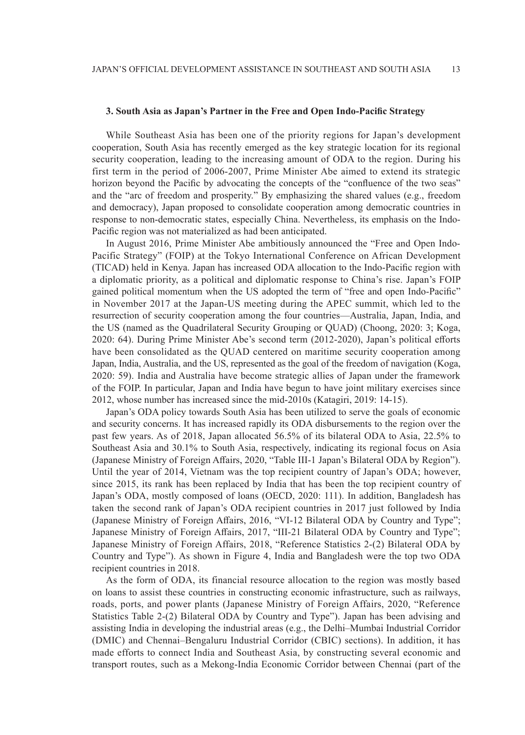## **3. South Asia as Japan's Partner in the Free and Open Indo-Pacific Strategy**

While Southeast Asia has been one of the priority regions for Japan's development cooperation, South Asia has recently emerged as the key strategic location for its regional security cooperation, leading to the increasing amount of ODA to the region. During his first term in the period of 2006-2007, Prime Minister Abe aimed to extend its strategic horizon beyond the Pacific by advocating the concepts of the "confluence of the two seas" and the "arc of freedom and prosperity." By emphasizing the shared values (e.g., freedom and democracy), Japan proposed to consolidate cooperation among democratic countries in response to non-democratic states, especially China. Nevertheless, its emphasis on the Indo-Pacific region was not materialized as had been anticipated.

In August 2016, Prime Minister Abe ambitiously announced the "Free and Open Indo-Pacific Strategy" (FOIP) at the Tokyo International Conference on African Development (TICAD) held in Kenya. Japan has increased ODA allocation to the Indo-Pacific region with a diplomatic priority, as a political and diplomatic response to China's rise. Japan's FOIP gained political momentum when the US adopted the term of "free and open Indo-Pacific" in November 2017 at the Japan-US meeting during the APEC summit, which led to the resurrection of security cooperation among the four countries—Australia, Japan, India, and the US (named as the Quadrilateral Security Grouping or QUAD) (Choong, 2020: 3; Koga, 2020: 64). During Prime Minister Abe's second term (2012-2020), Japan's political efforts have been consolidated as the QUAD centered on maritime security cooperation among Japan, India, Australia, and the US, represented as the goal of the freedom of navigation (Koga, 2020: 59). India and Australia have become strategic allies of Japan under the framework of the FOIP. In particular, Japan and India have begun to have joint military exercises since 2012, whose number has increased since the mid-2010s (Katagiri, 2019: 14-15).

Japan's ODA policy towards South Asia has been utilized to serve the goals of economic and security concerns. It has increased rapidly its ODA disbursements to the region over the past few years. As of 2018, Japan allocated 56.5% of its bilateral ODA to Asia, 22.5% to Southeast Asia and 30.1% to South Asia, respectively, indicating its regional focus on Asia (Japanese Ministry of Foreign Affairs, 2020, "Table III-1 Japan's Bilateral ODA by Region"). Until the year of 2014, Vietnam was the top recipient country of Japan's ODA; however, since 2015, its rank has been replaced by India that has been the top recipient country of Japan's ODA, mostly composed of loans (OECD, 2020: 111). In addition, Bangladesh has taken the second rank of Japan's ODA recipient countries in 2017 just followed by India (Japanese Ministry of Foreign Affairs, 2016, "VI-12 Bilateral ODA by Country and Type"; Japanese Ministry of Foreign Affairs, 2017, "III-21 Bilateral ODA by Country and Type"; Japanese Ministry of Foreign Affairs, 2018, "Reference Statistics 2-(2) Bilateral ODA by Country and Type"). As shown in Figure 4, India and Bangladesh were the top two ODA recipient countries in 2018.

As the form of ODA, its financial resource allocation to the region was mostly based on loans to assist these countries in constructing economic infrastructure, such as railways, roads, ports, and power plants (Japanese Ministry of Foreign Affairs, 2020, "Reference Statistics Table 2-(2) Bilateral ODA by Country and Type"). Japan has been advising and assisting India in developing the industrial areas (e.g., the Delhi–Mumbai Industrial Corridor (DMIC) and Chennai–Bengaluru Industrial Corridor (CBIC) sections). In addition, it has made efforts to connect India and Southeast Asia, by constructing several economic and transport routes, such as a Mekong-India Economic Corridor between Chennai (part of the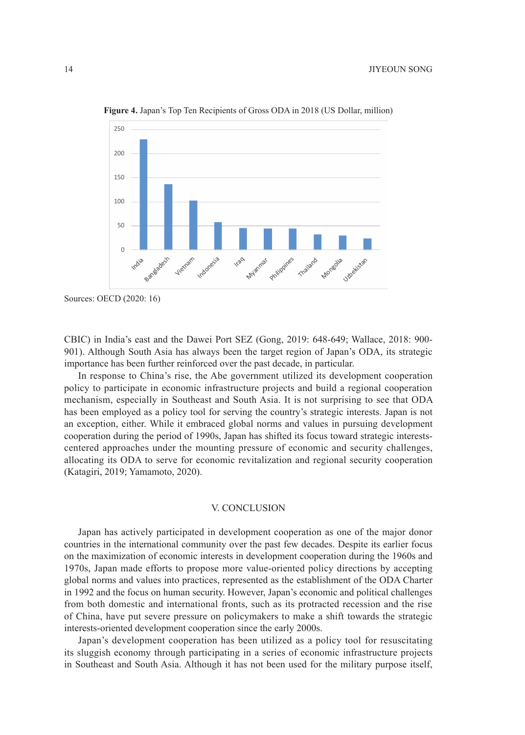

**Figure 4.** Japan's Top Ten Recipients of Gross ODA in 2018 (US Dollar, million)

CBIC) in India's east and the Dawei Port SEZ (Gong, 2019: 648-649; Wallace, 2018: 900- 901). Although South Asia has always been the target region of Japan's ODA, its strategic importance has been further reinforced over the past decade, in particular.

In response to China's rise, the Abe government utilized its development cooperation policy to participate in economic infrastructure projects and build a regional cooperation mechanism, especially in Southeast and South Asia. It is not surprising to see that ODA has been employed as a policy tool for serving the country's strategic interests. Japan is not an exception, either. While it embraced global norms and values in pursuing development cooperation during the period of 1990s, Japan has shifted its focus toward strategic interestscentered approaches under the mounting pressure of economic and security challenges, allocating its ODA to serve for economic revitalization and regional security cooperation (Katagiri, 2019; Yamamoto, 2020).

#### V. CONCLUSION

Japan has actively participated in development cooperation as one of the major donor countries in the international community over the past few decades. Despite its earlier focus on the maximization of economic interests in development cooperation during the 1960s and 1970s, Japan made efforts to propose more value-oriented policy directions by accepting global norms and values into practices, represented as the establishment of the ODA Charter in 1992 and the focus on human security. However, Japan's economic and political challenges from both domestic and international fronts, such as its protracted recession and the rise of China, have put severe pressure on policymakers to make a shift towards the strategic interests-oriented development cooperation since the early 2000s.

Japan's development cooperation has been utilized as a policy tool for resuscitating its sluggish economy through participating in a series of economic infrastructure projects in Southeast and South Asia. Although it has not been used for the military purpose itself,

Sources: OECD (2020: 16)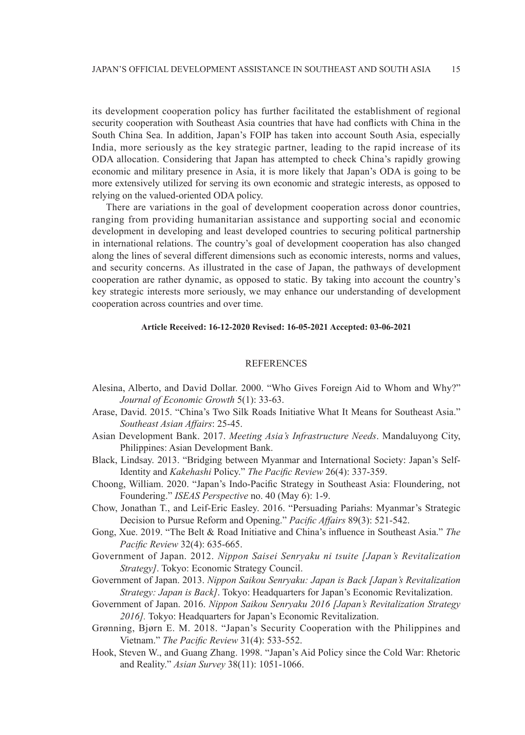its development cooperation policy has further facilitated the establishment of regional security cooperation with Southeast Asia countries that have had conflicts with China in the South China Sea. In addition, Japan's FOIP has taken into account South Asia, especially India, more seriously as the key strategic partner, leading to the rapid increase of its ODA allocation. Considering that Japan has attempted to check China's rapidly growing economic and military presence in Asia, it is more likely that Japan's ODA is going to be more extensively utilized for serving its own economic and strategic interests, as opposed to relying on the valued-oriented ODA policy.

There are variations in the goal of development cooperation across donor countries, ranging from providing humanitarian assistance and supporting social and economic development in developing and least developed countries to securing political partnership in international relations. The country's goal of development cooperation has also changed along the lines of several different dimensions such as economic interests, norms and values, and security concerns. As illustrated in the case of Japan, the pathways of development cooperation are rather dynamic, as opposed to static. By taking into account the country's key strategic interests more seriously, we may enhance our understanding of development cooperation across countries and over time.

## **Article Received: 16-12-2020 Revised: 16-05-2021 Accepted: 03-06-2021**

### **REFERENCES**

- Alesina, Alberto, and David Dollar. 2000. "Who Gives Foreign Aid to Whom and Why?" *Journal of Economic Growth* 5(1): 33-63.
- Arase, David. 2015. "China's Two Silk Roads Initiative What It Means for Southeast Asia." *Southeast Asian Affairs*: 25-45.
- Asian Development Bank. 2017. *Meeting Asia's Infrastructure Needs*. Mandaluyong City, Philippines: Asian Development Bank.
- Black, Lindsay. 2013. "Bridging between Myanmar and International Society: Japan's Self-Identity and *Kakehashi* Policy." *The Pacific Review* 26(4): 337-359.
- Choong, William. 2020. "Japan's Indo-Pacific Strategy in Southeast Asia: Floundering, not Foundering." *ISEAS Perspective* no. 40 (May 6): 1-9.
- Chow, Jonathan T., and Leif-Eric Easley. 2016. "Persuading Pariahs: Myanmar's Strategic Decision to Pursue Reform and Opening." *Pacific Affairs* 89(3): 521-542.
- Gong, Xue. 2019. "The Belt & Road Initiative and China's influence in Southeast Asia." *The Pacific Review* 32(4): 635-665.
- Government of Japan. 2012. *Nippon Saisei Senryaku ni tsuite [Japan's Revitalization Strategy]*. Tokyo: Economic Strategy Council.
- Government of Japan. 2013. *Nippon Saikou Senryaku: Japan is Back [Japan's Revitalization Strategy: Japan is Back]*. Tokyo: Headquarters for Japan's Economic Revitalization.
- Government of Japan. 2016. *Nippon Saikou Senryaku 2016 [Japan's Revitalization Strategy 2016].* Tokyo: Headquarters for Japan's Economic Revitalization.
- Grønning, Bjørn E. M. 2018. "Japan's Security Cooperation with the Philippines and Vietnam." *The Pacific Review* 31(4): 533-552.
- Hook, Steven W., and Guang Zhang. 1998. "Japan's Aid Policy since the Cold War: Rhetoric and Reality." *Asian Survey* 38(11): 1051-1066.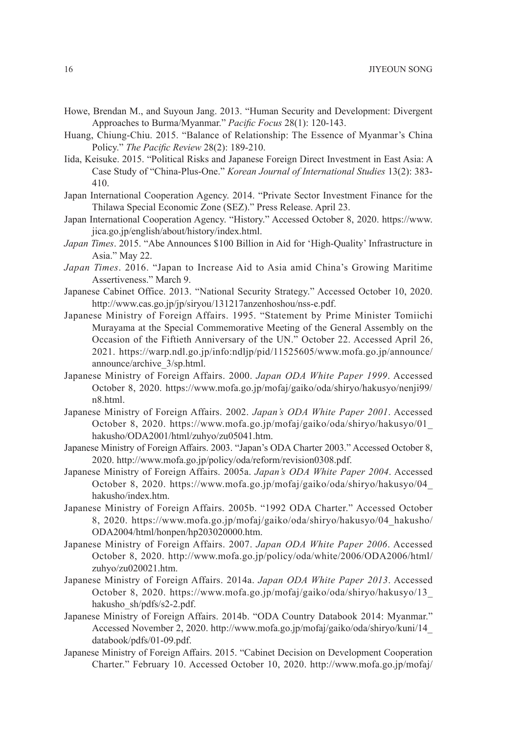- Howe, Brendan M., and Suyoun Jang. 2013. "Human Security and Development: Divergent Approaches to Burma/Myanmar." *Pacific Focus* 28(1): 120-143.
- Huang, Chiung-Chiu. 2015. "Balance of Relationship: The Essence of Myanmar's China Policy." *The Pacific Review* 28(2): 189-210.
- Iida, Keisuke. 2015. "Political Risks and Japanese Foreign Direct Investment in East Asia: A Case Study of "China-Plus-One." *Korean Journal of International Studies* 13(2): 383- 410.
- Japan International Cooperation Agency. 2014. "Private Sector Investment Finance for the Thilawa Special Economic Zone (SEZ)." Press Release. April 23.
- Japan International Cooperation Agency. "History." Accessed October 8, 2020. https://www. jica.go.jp/english/about/history/index.html.
- *Japan Times*. 2015. "Abe Announces \$100 Billion in Aid for 'High-Quality' Infrastructure in Asia." May 22.
- *Japan Times*. 2016. "Japan to Increase Aid to Asia amid China's Growing Maritime Assertiveness." March 9.
- Japanese Cabinet Office. 2013. "National Security Strategy." Accessed October 10, 2020. http://www.cas.go.jp/jp/siryou/131217anzenhoshou/nss-e.pdf.
- Japanese Ministry of Foreign Affairs. 1995. "Statement by Prime Minister Tomiichi Murayama at the Special Commemorative Meeting of the General Assembly on the Occasion of the Fiftieth Anniversary of the UN." October 22. Accessed April 26, 2021. https://warp.ndl.go.jp/info:ndljp/pid/11525605/www.mofa.go.jp/announce/ announce/archive\_3/sp.html.
- Japanese Ministry of Foreign Affairs. 2000. *Japan ODA White Paper 1999*. Accessed October 8, 2020. https://www.mofa.go.jp/mofaj/gaiko/oda/shiryo/hakusyo/nenji99/ n8.html.
- Japanese Ministry of Foreign Affairs. 2002. *Japan's ODA White Paper 2001*. Accessed October 8, 2020. https://www.mofa.go.jp/mofaj/gaiko/oda/shiryo/hakusyo/01\_ hakusho/ODA2001/html/zuhyo/zu05041.htm.
- Japanese Ministry of Foreign Affairs. 2003. "Japan's ODA Charter 2003." Accessed October 8, 2020. http://www.mofa.go.jp/policy/oda/reform/revision0308.pdf.
- Japanese Ministry of Foreign Affairs. 2005a. *Japan's ODA White Paper 2004*. Accessed October 8, 2020. https://www.mofa.go.jp/mofaj/gaiko/oda/shiryo/hakusyo/04\_ hakusho/index.htm.
- Japanese Ministry of Foreign Affairs. 2005b. "1992 ODA Charter." Accessed October 8, 2020. https://www.mofa.go.jp/mofaj/gaiko/oda/shiryo/hakusyo/04\_hakusho/ ODA2004/html/honpen/hp203020000.htm.
- Japanese Ministry of Foreign Affairs. 2007. *Japan ODA White Paper 2006*. Accessed October 8, 2020. http://www.mofa.go.jp/policy/oda/white/2006/ODA2006/html/ zuhyo/zu020021.htm.
- Japanese Ministry of Foreign Affairs. 2014a. *Japan ODA White Paper 2013*. Accessed October 8, 2020. https://www.mofa.go.jp/mofaj/gaiko/oda/shiryo/hakusyo/13\_ hakusho\_sh/pdfs/s2-2.pdf.
- Japanese Ministry of Foreign Affairs. 2014b. "ODA Country Databook 2014: Myanmar." Accessed November 2, 2020. http://www.mofa.go.jp/mofaj/gaiko/oda/shiryo/kuni/14\_ databook/pdfs/01-09.pdf.
- Japanese Ministry of Foreign Affairs. 2015. "Cabinet Decision on Development Cooperation Charter." February 10. Accessed October 10, 2020. http://www.mofa.go.jp/mofaj/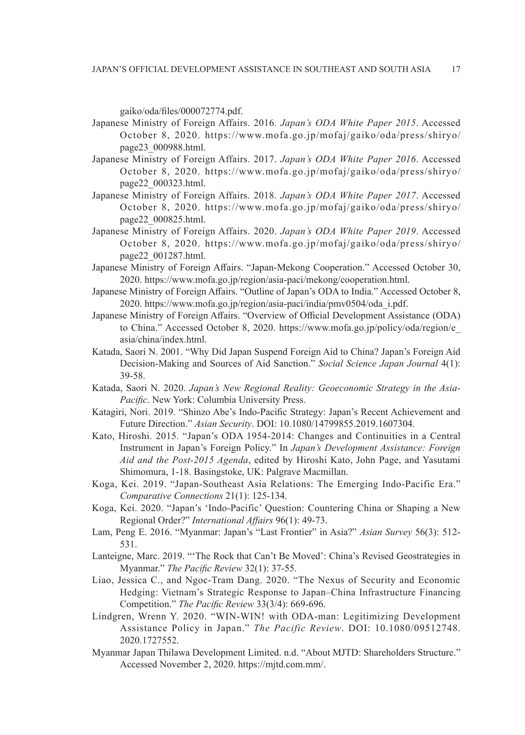gaiko/oda/files/000072774.pdf.

- Japanese Ministry of Foreign Affairs. 2016. *Japan's ODA White Paper 2015*. Accessed October 8, 2020. https://www.mofa.go.jp/mofaj/gaiko/oda/press/shiryo/ page23\_000988.html.
- Japanese Ministry of Foreign Affairs. 2017. *Japan's ODA White Paper 2016*. Accessed October 8, 2020. https://www.mofa.go.jp/mofaj/gaiko/oda/press/shiryo/ page22\_000323.html.
- Japanese Ministry of Foreign Affairs. 2018. *Japan's ODA White Paper 2017*. Accessed October 8, 2020. https://www.mofa.go.jp/mofaj/gaiko/oda/press/shiryo/ page22\_000825.html.
- Japanese Ministry of Foreign Affairs. 2020. *Japan's ODA White Paper 2019*. Accessed October 8, 2020. https://www.mofa.go.jp/mofaj/gaiko/oda/press/shiryo/ page22\_001287.html.
- Japanese Ministry of Foreign Affairs. "Japan-Mekong Cooperation." Accessed October 30, 2020. https://www.mofa.go.jp/region/asia-paci/mekong/cooperation.html.
- Japanese Ministry of Foreign Affairs. "Outline of Japan's ODA to India." Accessed October 8, 2020. https://www.mofa.go.jp/region/asia-paci/india/pmv0504/oda\_i.pdf.
- Japanese Ministry of Foreign Affairs. "Overview of Official Development Assistance (ODA) to China." Accessed October 8, 2020. https://www.mofa.go.jp/policy/oda/region/e\_ asia/china/index.html.
- Katada, Saori N. 2001. "Why Did Japan Suspend Foreign Aid to China? Japan's Foreign Aid Decision-Making and Sources of Aid Sanction." *Social Science Japan Journal* 4(1): 39-58.
- Katada, Saori N. 2020. *Japan's New Regional Reality: Geoeconomic Strategy in the Asia-Pacific*. New York: Columbia University Press.
- Katagiri, Nori. 2019. "Shinzo Abe's Indo-Pacific Strategy: Japan's Recent Achievement and Future Direction." *Asian Security*. DOI: 10.1080/14799855.2019.1607304.
- Kato, Hiroshi. 2015. "Japan's ODA 1954-2014: Changes and Continuities in a Central Instrument in Japan's Foreign Policy." In *Japan's Development Assistance: Foreign Aid and the Post-2015 Agenda*, edited by Hiroshi Kato, John Page, and Yasutami Shimomura, 1-18. Basingstoke, UK: Palgrave Macmillan.
- Koga, Kei. 2019. "Japan-Southeast Asia Relations: The Emerging Indo-Pacific Era." *Comparative Connections* 21(1): 125-134.
- Koga, Kei. 2020. "Japan's 'Indo-Pacific' Question: Countering China or Shaping a New Regional Order?" *International Affairs* 96(1): 49-73.
- Lam, Peng E. 2016. "Myanmar: Japan's "Last Frontier" in Asia?" *Asian Survey* 56(3): 512- 531.
- Lanteigne, Marc. 2019. "'The Rock that Can't Be Moved': China's Revised Geostrategies in Myanmar." *The Pacific Review* 32(1): 37-55.
- Liao, Jessica C., and Ngoc-Tram Dang. 2020. "The Nexus of Security and Economic Hedging: Vietnam's Strategic Response to Japan–China Infrastructure Financing Competition." *The Pacific Review* 33(3/4): 669-696.
- Lindgren, Wrenn Y. 2020. "WIN-WIN! with ODA-man: Legitimizing Development Assistance Policy in Japan." *The Pacific Review*. DOI: 10.1080/09512748. 2020.1727552.
- Myanmar Japan Thilawa Development Limited. n.d. "About MJTD: Shareholders Structure." Accessed November 2, 2020. https://mjtd.com.mm/.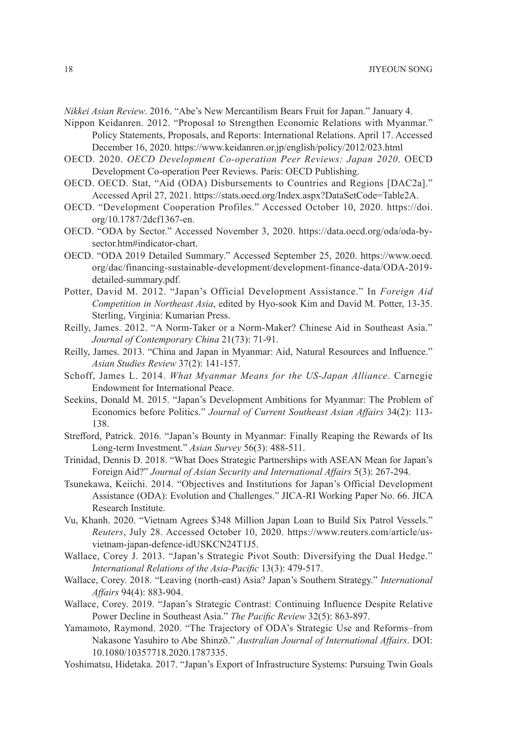*Nikkei Asian Review*. 2016. "Abe's New Mercantilism Bears Fruit for Japan." January 4.

- Nippon Keidanren. 2012. "Proposal to Strengthen Economic Relations with Myanmar." Policy Statements, Proposals, and Reports: International Relations. April 17. Accessed December 16, 2020. https://www.keidanren.or.jp/english/policy/2012/023.html
- OECD. 2020. *OECD Development Co-operation Peer Reviews: Japan 2020*. OECD Development Co-operation Peer Reviews. Paris: OECD Publishing.
- OECD. OECD. Stat, "Aid (ODA) Disbursements to Countries and Regions [DAC2a]." Accessed April 27, 2021. https://stats.oecd.org/Index.aspx?DataSetCode=Table2A.
- OECD. "Development Cooperation Profiles." Accessed October 10, 2020. https://doi. org/10.1787/2dcf1367-en.
- OECD. "ODA by Sector." Accessed November 3, 2020. https://data.oecd.org/oda/oda-bysector.htm#indicator-chart.
- OECD. "ODA 2019 Detailed Summary." Accessed September 25, 2020. https://www.oecd. org/dac/financing-sustainable-development/development-finance-data/ODA-2019 detailed-summary.pdf.
- Potter, David M. 2012. "Japan's Official Development Assistance." In *Foreign Aid Competition in Northeast Asia*, edited by Hyo-sook Kim and David M. Potter, 13-35. Sterling, Virginia: Kumarian Press.
- Reilly, James. 2012. "A Norm-Taker or a Norm-Maker? Chinese Aid in Southeast Asia." *Journal of Contemporary China* 21(73): 71-91.
- Reilly, James. 2013. "China and Japan in Myanmar: Aid, Natural Resources and Influence." *Asian Studies Review* 37(2): 141-157.
- Schoff, James L. 2014. *What Myanmar Means for the US-Japan Alliance*. Carnegie Endowment for International Peace.
- Seekins, Donald M. 2015. "Japan's Development Ambitions for Myanmar: The Problem of Economics before Politics." *Journal of Current Southeast Asian Affairs* 34(2): 113- 138.
- Strefford, Patrick. 2016. "Japan's Bounty in Myanmar: Finally Reaping the Rewards of Its Long-term Investment." *Asian Survey* 56(3): 488-511.
- Trinidad, Dennis D. 2018. "What Does Strategic Partnerships with ASEAN Mean for Japan's Foreign Aid?" *Journal of Asian Security and International Affairs* 5(3): 267-294.
- Tsunekawa, Keiichi. 2014. "Objectives and Institutions for Japan's Official Development Assistance (ODA): Evolution and Challenges." JICA-RI Working Paper No. 66. JICA Research Institute.
- Vu, Khanh. 2020. "Vietnam Agrees \$348 Million Japan Loan to Build Six Patrol Vessels." *Reuters*, July 28. Accessed October 10, 2020. https://www.reuters.com/article/usvietnam-japan-defence-idUSKCN24T1J5.
- Wallace, Corey J. 2013. "Japan's Strategic Pivot South: Diversifying the Dual Hedge." *International Relations of the Asia-Pacific* 13(3): 479-517.
- Wallace, Corey. 2018. "Leaving (north-east) Asia? Japan's Southern Strategy." *International Affairs* 94(4): 883-904.
- Wallace, Corey. 2019. "Japan's Strategic Contrast: Continuing Influence Despite Relative Power Decline in Southeast Asia." *The Pacific Review* 32(5): 863-897.
- Yamamoto, Raymond. 2020. "The Trajectory of ODA's Strategic Use and Reforms–from Nakasone Yasuhiro to Abe Shinzō." *Australian Journal of International Affairs*. DOI: 10.1080/10357718.2020.1787335.
- Yoshimatsu, Hidetaka. 2017. "Japan's Export of Infrastructure Systems: Pursuing Twin Goals